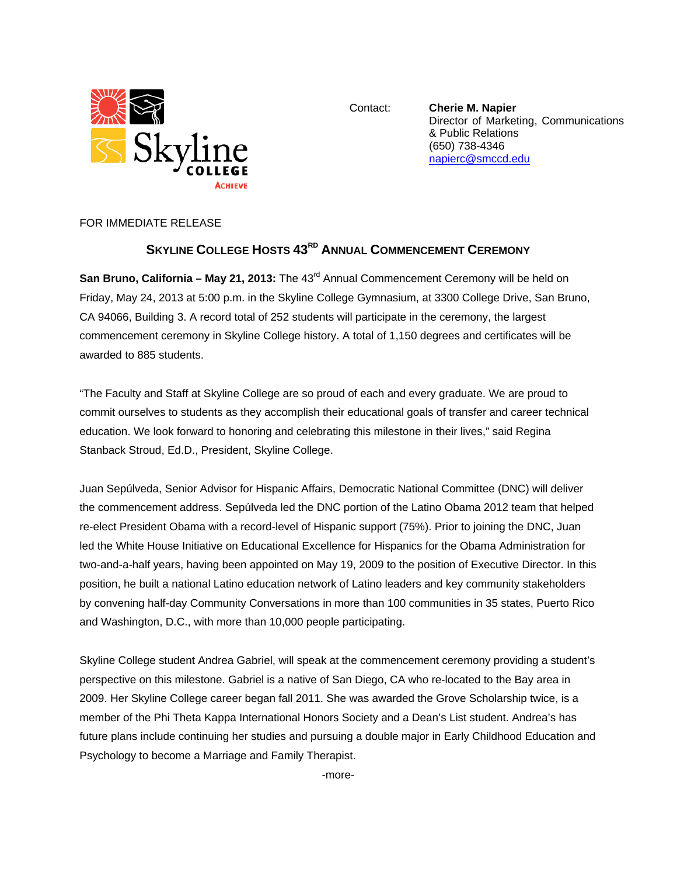

Contact: **Cherie M. Napier** Director of Marketing, Communications & Public Relations (650) 738-4346 napierc@smccd.edu

FOR IMMEDIATE RELEASE

## **SKYLINE COLLEGE HOSTS 43<sup>RD</sup> ANNUAL COMMENCEMENT CEREMONY**

**San Bruno, California – May 21, 2013:** The 43<sup>rd</sup> Annual Commencement Ceremony will be held on Friday, May 24, 2013 at 5:00 p.m. in the Skyline College Gymnasium, at 3300 College Drive, San Bruno, CA 94066, Building 3. A record total of 252 students will participate in the ceremony, the largest commencement ceremony in Skyline College history. A total of 1,150 degrees and certificates will be awarded to 885 students.

"The Faculty and Staff at Skyline College are so proud of each and every graduate. We are proud to commit ourselves to students as they accomplish their educational goals of transfer and career technical education. We look forward to honoring and celebrating this milestone in their lives," said Regina Stanback Stroud, Ed.D., President, Skyline College.

Juan Sepúlveda, Senior Advisor for Hispanic Affairs, Democratic National Committee (DNC) will deliver the commencement address. Sepúlveda led the DNC portion of the Latino Obama 2012 team that helped re-elect President Obama with a record-level of Hispanic support (75%). Prior to joining the DNC, Juan led the White House Initiative on Educational Excellence for Hispanics for the Obama Administration for two-and-a-half years, having been appointed on May 19, 2009 to the position of Executive Director. In this position, he built a national Latino education network of Latino leaders and key community stakeholders by convening half-day Community Conversations in more than 100 communities in 35 states, Puerto Rico and Washington, D.C., with more than 10,000 people participating.

Skyline College student Andrea Gabriel, will speak at the commencement ceremony providing a student's perspective on this milestone. Gabriel is a native of San Diego, CA who re-located to the Bay area in 2009. Her Skyline College career began fall 2011. She was awarded the Grove Scholarship twice, is a member of the Phi Theta Kappa International Honors Society and a Dean's List student. Andrea's has future plans include continuing her studies and pursuing a double major in Early Childhood Education and Psychology to become a Marriage and Family Therapist.

-more-